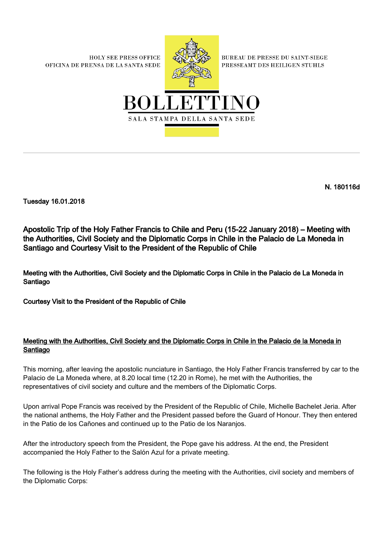**HOLY SEE PRESS OFFICE** OFICINA DE PRENSA DE LA SANTA SEDE



**BUREAU DE PRESSE DU SAINT-SIEGE** PRESSEAMT DES HEILIGEN STUHLS



N. 180116d

Tuesday 16.01.2018

Apostolic Trip of the Holy Father Francis to Chile and Peru (15-22 January 2018) – Meeting with the Authorities, Civil Society and the Diplomatic Corps in Chile in the Palacio de La Moneda in Santiago and Courtesy Visit to the President of the Republic of Chile

Meeting with the Authorities, Civil Society and the Diplomatic Corps in Chile in the Palacio de La Moneda in Santiago

Courtesy Visit to the President of the Republic of Chile

## Meeting with the Authorities, Civil Society and the Diplomatic Corps in Chile in the Palacio de la Moneda in Santiago

This morning, after leaving the apostolic nunciature in Santiago, the Holy Father Francis transferred by car to the Palacio de La Moneda where, at 8.20 local time (12.20 in Rome), he met with the Authorities, the representatives of civil society and culture and the members of the Diplomatic Corps.

Upon arrival Pope Francis was received by the President of the Republic of Chile, Michelle Bachelet Jeria. After the national anthems, the Holy Father and the President passed before the Guard of Honour. They then entered in the Patio de los Cañones and continued up to the Patio de los Naranjos.

After the introductory speech from the President, the Pope gave his address. At the end, the President accompanied the Holy Father to the Salón Azul for a private meeting.

The following is the Holy Father's address during the meeting with the Authorities, civil society and members of the Diplomatic Corps: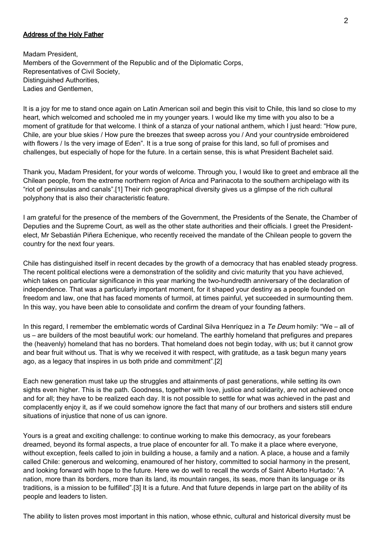## Address of the Holy Father

Madam President, Members of the Government of the Republic and of the Diplomatic Corps, Representatives of Civil Society, Distinguished Authorities, Ladies and Gentlemen,

It is a joy for me to stand once again on Latin American soil and begin this visit to Chile, this land so close to my heart, which welcomed and schooled me in my younger years. I would like my time with you also to be a moment of gratitude for that welcome. I think of a stanza of your national anthem, which I just heard: "How pure, Chile, are your blue skies / How pure the breezes that sweep across you / And your countryside embroidered with flowers / Is the very image of Eden". It is a true song of praise for this land, so full of promises and challenges, but especially of hope for the future. In a certain sense, this is what President Bachelet said.

Thank you, Madam President, for your words of welcome. Through you, I would like to greet and embrace all the Chilean people, from the extreme northern region of Arica and Parinacota to the southern archipelago with its "riot of peninsulas and canals".[1] Their rich geographical diversity gives us a glimpse of the rich cultural polyphony that is also their characteristic feature.

I am grateful for the presence of the members of the Government, the Presidents of the Senate, the Chamber of Deputies and the Supreme Court, as well as the other state authorities and their officials. I greet the Presidentelect, Mr Sebastián Piñera Echenique, who recently received the mandate of the Chilean people to govern the country for the next four years.

Chile has distinguished itself in recent decades by the growth of a democracy that has enabled steady progress. The recent political elections were a demonstration of the solidity and civic maturity that you have achieved, which takes on particular significance in this year marking the two-hundredth anniversary of the declaration of independence. That was a particularly important moment, for it shaped your destiny as a people founded on freedom and law, one that has faced moments of turmoil, at times painful, yet succeeded in surmounting them. In this way, you have been able to consolidate and confirm the dream of your founding fathers.

In this regard, I remember the emblematic words of Cardinal Silva Henríquez in a Te Deum homily: "We – all of us – are builders of the most beautiful work: our homeland. The earthly homeland that prefigures and prepares the (heavenly) homeland that has no borders. That homeland does not begin today, with us; but it cannot grow and bear fruit without us. That is why we received it with respect, with gratitude, as a task begun many years ago, as a legacy that inspires in us both pride and commitment".[2]

Each new generation must take up the struggles and attainments of past generations, while setting its own sights even higher. This is the path. Goodness, together with love, justice and solidarity, are not achieved once and for all; they have to be realized each day. It is not possible to settle for what was achieved in the past and complacently enjoy it, as if we could somehow ignore the fact that many of our brothers and sisters still endure situations of injustice that none of us can ignore.

Yours is a great and exciting challenge: to continue working to make this democracy, as your forebears dreamed, beyond its formal aspects, a true place of encounter for all. To make it a place where everyone, without exception, feels called to join in building a house, a family and a nation. A place, a house and a family called Chile: generous and welcoming, enamoured of her history, committed to social harmony in the present, and looking forward with hope to the future. Here we do well to recall the words of Saint Alberto Hurtado: "A nation, more than its borders, more than its land, its mountain ranges, its seas, more than its language or its traditions, is a mission to be fulfilled".[3] It is a future. And that future depends in large part on the ability of its people and leaders to listen.